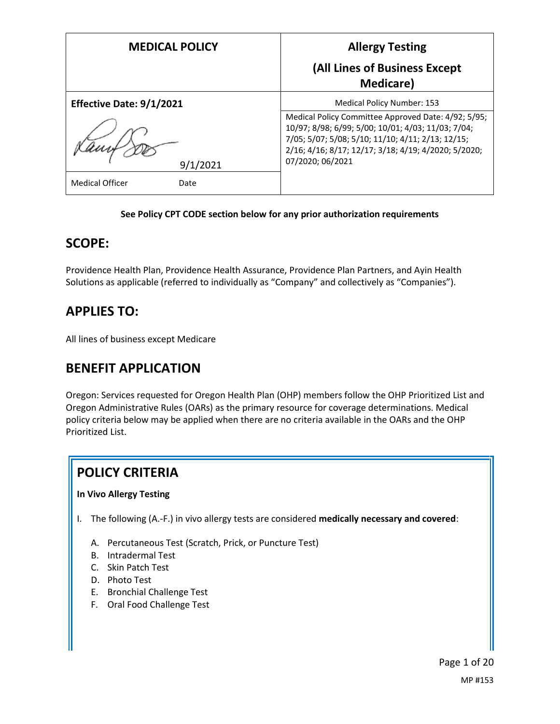| <b>MEDICAL POLICY</b>          | <b>Allergy Testing</b>                                                                                                                                                                                                                     |
|--------------------------------|--------------------------------------------------------------------------------------------------------------------------------------------------------------------------------------------------------------------------------------------|
|                                | (All Lines of Business Except<br><b>Medicare</b> )                                                                                                                                                                                         |
| Effective Date: 9/1/2021       | <b>Medical Policy Number: 153</b>                                                                                                                                                                                                          |
| 9/1/2021                       | Medical Policy Committee Approved Date: 4/92; 5/95;<br>10/97; 8/98; 6/99; 5/00; 10/01; 4/03; 11/03; 7/04;<br>7/05; 5/07; 5/08; 5/10; 11/10; 4/11; 2/13; 12/15;<br>2/16; 4/16; 8/17; 12/17; 3/18; 4/19; 4/2020; 5/2020;<br>07/2020; 06/2021 |
| <b>Medical Officer</b><br>Date |                                                                                                                                                                                                                                            |

#### **See Policy CPT CODE section below for any prior authorization requirements**

## **SCOPE:**

Providence Health Plan, Providence Health Assurance, Providence Plan Partners, and Ayin Health Solutions as applicable (referred to individually as "Company" and collectively as "Companies").

## **APPLIES TO:**

All lines of business except Medicare

## **BENEFIT APPLICATION**

Oregon: Services requested for Oregon Health Plan (OHP) members follow the OHP Prioritized List and Oregon Administrative Rules (OARs) as the primary resource for coverage determinations. Medical policy criteria below may be applied when there are no criteria available in the OARs and the OHP Prioritized List.

# **POLICY CRITERIA**

### **In Vivo Allergy Testing**

- I. The following (A.-F.) in vivo allergy tests are considered **medically necessary and covered**:
	- A. Percutaneous Test (Scratch, Prick, or Puncture Test)
	- B. Intradermal Test
	- C. Skin Patch Test
	- D. Photo Test
	- E. Bronchial Challenge Test
	- F. Oral Food Challenge Test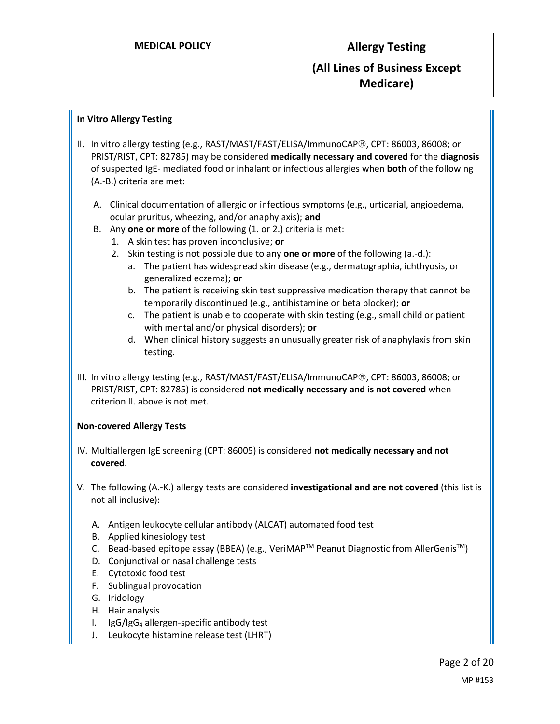#### **In Vitro Allergy Testing**

- II. In vitro allergy testing (e.g., RAST/MAST/FAST/ELISA/ImmunoCAP®, CPT: 86003, 86008; or PRIST/RIST, CPT: 82785) may be considered **medically necessary and covered** for the **diagnosis** of suspected IgE- mediated food or inhalant or infectious allergies when **both** of the following (A.-B.) criteria are met:
	- A. Clinical documentation of allergic or infectious symptoms (e.g., urticarial, angioedema, ocular pruritus, wheezing, and/or anaphylaxis); **and**
	- B. Any **one or more** of the following (1. or 2.) criteria is met:
		- 1. A skin test has proven inconclusive; **or**
		- 2. Skin testing is not possible due to any **one or more** of the following (a.-d.):
			- a. The patient has widespread skin disease (e.g., dermatographia, ichthyosis, or generalized eczema); **or**
			- b. The patient is receiving skin test suppressive medication therapy that cannot be temporarily discontinued (e.g., antihistamine or beta blocker); **or**
			- c. The patient is unable to cooperate with skin testing (e.g., small child or patient with mental and/or physical disorders); **or**
			- d. When clinical history suggests an unusually greater risk of anaphylaxis from skin testing.
- III. In vitro allergy testing (e.g., RAST/MAST/FAST/ELISA/ImmunoCAP®, CPT: 86003, 86008; or PRIST/RIST, CPT: 82785) is considered **not medically necessary and is not covered** when criterion II. above is not met.

#### **Non-covered Allergy Tests**

- IV. Multiallergen IgE screening (CPT: 86005) is considered **not medically necessary and not covered**.
- V. The following (A.-K.) allergy tests are considered **investigational and are not covered** (this list is not all inclusive):
	- A. Antigen leukocyte cellular antibody (ALCAT) automated food test
	- B. Applied kinesiology test
	- C. Bead-based epitope assay (BBEA) (e.g., VeriMAP™ Peanut Diagnostic from AllerGenis™)
	- D. Conjunctival or nasal challenge tests
	- E. Cytotoxic food test
	- F. Sublingual provocation
	- G. Iridology
	- H. Hair analysis
	- I. IgG/IgG<sup>4</sup> allergen-specific antibody test
	- J. Leukocyte histamine release test (LHRT)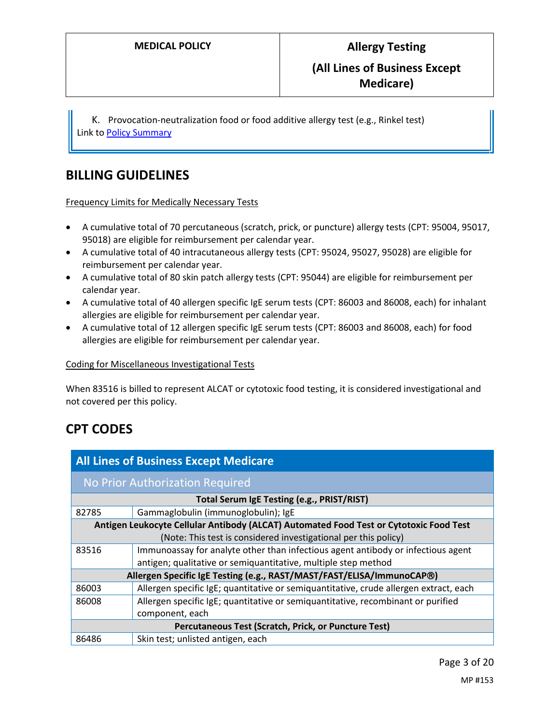K. Provocation-neutralization food or food additive allergy test (e.g., Rinkel test) Link t[o Policy Summary](#page-13-0)

## **BILLING GUIDELINES**

Frequency Limits for Medically Necessary Tests

- A cumulative total of 70 percutaneous (scratch, prick, or puncture) allergy tests (CPT: 95004, 95017, 95018) are eligible for reimbursement per calendar year.
- A cumulative total of 40 intracutaneous allergy tests (CPT: 95024, 95027, 95028) are eligible for reimbursement per calendar year.
- A cumulative total of 80 skin patch allergy tests (CPT: 95044) are eligible for reimbursement per calendar year.
- A cumulative total of 40 allergen specific IgE serum tests (CPT: 86003 and 86008, each) for inhalant allergies are eligible for reimbursement per calendar year.
- A cumulative total of 12 allergen specific IgE serum tests (CPT: 86003 and 86008, each) for food allergies are eligible for reimbursement per calendar year.

#### Coding for Miscellaneous Investigational Tests

When 83516 is billed to represent ALCAT or cytotoxic food testing, it is considered investigational and not covered per this policy.

# **CPT CODES**

| <b>All Lines of Business Except Medicare</b>                                           |                                                                                       |  |
|----------------------------------------------------------------------------------------|---------------------------------------------------------------------------------------|--|
| No Prior Authorization Required                                                        |                                                                                       |  |
| Total Serum IgE Testing (e.g., PRIST/RIST)                                             |                                                                                       |  |
| 82785                                                                                  | Gammaglobulin (immunoglobulin); IgE                                                   |  |
| Antigen Leukocyte Cellular Antibody (ALCAT) Automated Food Test or Cytotoxic Food Test |                                                                                       |  |
|                                                                                        | (Note: This test is considered investigational per this policy)                       |  |
| 83516                                                                                  | Immunoassay for analyte other than infectious agent antibody or infectious agent      |  |
|                                                                                        | antigen; qualitative or semiquantitative, multiple step method                        |  |
| Allergen Specific IgE Testing (e.g., RAST/MAST/FAST/ELISA/ImmunoCAP®)                  |                                                                                       |  |
| 86003                                                                                  | Allergen specific IgE; quantitative or semiquantitative, crude allergen extract, each |  |
| 86008                                                                                  | Allergen specific IgE; quantitative or semiquantitative, recombinant or purified      |  |
|                                                                                        | component, each                                                                       |  |
| Percutaneous Test (Scratch, Prick, or Puncture Test)                                   |                                                                                       |  |
| 86486                                                                                  | Skin test; unlisted antigen, each                                                     |  |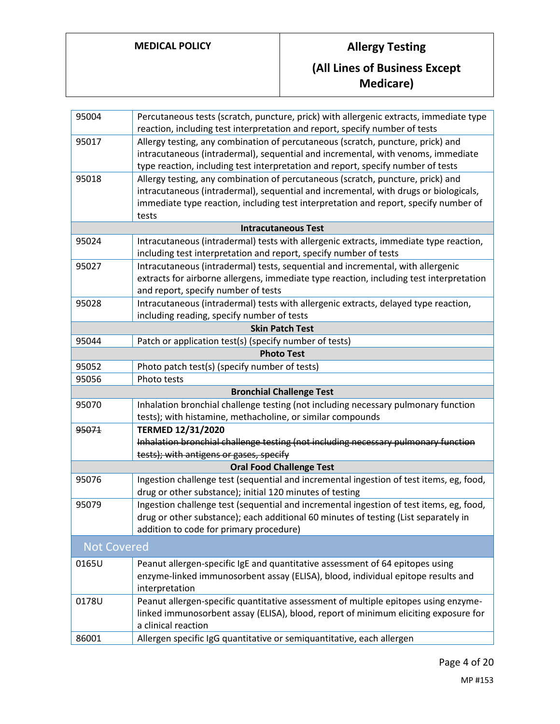# **MEDICAL POLICY Allergy Testing (All Lines of Business Except Medicare)**

| 95004              | Percutaneous tests (scratch, puncture, prick) with allergenic extracts, immediate type                                                              |  |  |
|--------------------|-----------------------------------------------------------------------------------------------------------------------------------------------------|--|--|
|                    | reaction, including test interpretation and report, specify number of tests                                                                         |  |  |
| 95017              | Allergy testing, any combination of percutaneous (scratch, puncture, prick) and                                                                     |  |  |
|                    | intracutaneous (intradermal), sequential and incremental, with venoms, immediate                                                                    |  |  |
|                    | type reaction, including test interpretation and report, specify number of tests                                                                    |  |  |
| 95018              | Allergy testing, any combination of percutaneous (scratch, puncture, prick) and                                                                     |  |  |
|                    | intracutaneous (intradermal), sequential and incremental, with drugs or biologicals,                                                                |  |  |
|                    | immediate type reaction, including test interpretation and report, specify number of                                                                |  |  |
| tests              |                                                                                                                                                     |  |  |
|                    | <b>Intracutaneous Test</b>                                                                                                                          |  |  |
| 95024              | Intracutaneous (intradermal) tests with allergenic extracts, immediate type reaction,                                                               |  |  |
|                    | including test interpretation and report, specify number of tests                                                                                   |  |  |
| 95027              | Intracutaneous (intradermal) tests, sequential and incremental, with allergenic                                                                     |  |  |
|                    | extracts for airborne allergens, immediate type reaction, including test interpretation                                                             |  |  |
|                    | and report, specify number of tests                                                                                                                 |  |  |
| 95028              | Intracutaneous (intradermal) tests with allergenic extracts, delayed type reaction,                                                                 |  |  |
|                    | including reading, specify number of tests                                                                                                          |  |  |
|                    | <b>Skin Patch Test</b>                                                                                                                              |  |  |
| 95044              | Patch or application test(s) (specify number of tests)                                                                                              |  |  |
|                    | <b>Photo Test</b>                                                                                                                                   |  |  |
| 95052              | Photo patch test(s) (specify number of tests)                                                                                                       |  |  |
| 95056              | Photo tests                                                                                                                                         |  |  |
|                    | <b>Bronchial Challenge Test</b>                                                                                                                     |  |  |
| 95070              | Inhalation bronchial challenge testing (not including necessary pulmonary function                                                                  |  |  |
|                    | tests); with histamine, methacholine, or similar compounds                                                                                          |  |  |
| 95071              | <b>TERMED 12/31/2020</b>                                                                                                                            |  |  |
|                    | Inhalation bronchial challenge testing (not including necessary pulmonary function                                                                  |  |  |
|                    | tests); with antigens or gases, specify                                                                                                             |  |  |
|                    | <b>Oral Food Challenge Test</b>                                                                                                                     |  |  |
| 95076              | Ingestion challenge test (sequential and incremental ingestion of test items, eg, food,<br>drug or other substance); initial 120 minutes of testing |  |  |
| 95079              | Ingestion challenge test (sequential and incremental ingestion of test items, eg, food,                                                             |  |  |
|                    | drug or other substance); each additional 60 minutes of testing (List separately in                                                                 |  |  |
|                    | addition to code for primary procedure)                                                                                                             |  |  |
| <b>Not Covered</b> |                                                                                                                                                     |  |  |
| 0165U              | Peanut allergen-specific IgE and quantitative assessment of 64 epitopes using                                                                       |  |  |
|                    | enzyme-linked immunosorbent assay (ELISA), blood, individual epitope results and                                                                    |  |  |
|                    | interpretation                                                                                                                                      |  |  |
| 0178U              | Peanut allergen-specific quantitative assessment of multiple epitopes using enzyme-                                                                 |  |  |
|                    | linked immunosorbent assay (ELISA), blood, report of minimum eliciting exposure for                                                                 |  |  |
|                    | a clinical reaction                                                                                                                                 |  |  |
| 86001              | Allergen specific IgG quantitative or semiquantitative, each allergen                                                                               |  |  |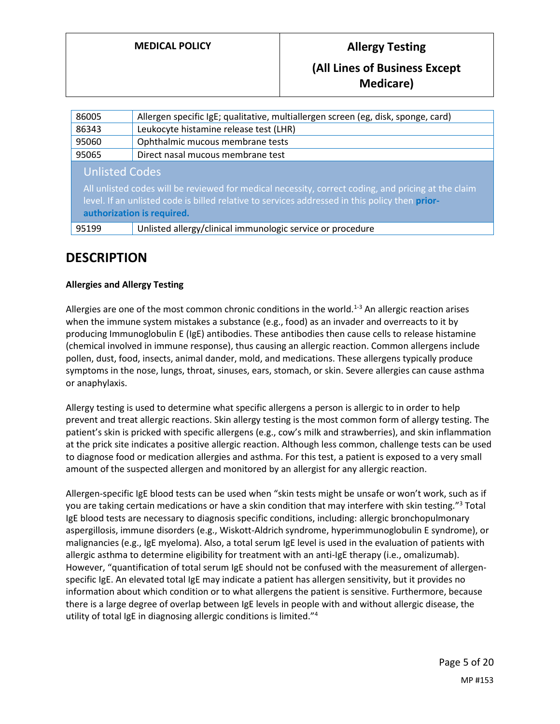# **MEDICAL POLICY Allergy Testing (All Lines of Business Except Medicare)**

| 86005                                                                                                                                                                                                                                                        | Allergen specific IgE; qualitative, multiallergen screen (eg, disk, sponge, card) |  |
|--------------------------------------------------------------------------------------------------------------------------------------------------------------------------------------------------------------------------------------------------------------|-----------------------------------------------------------------------------------|--|
| 86343                                                                                                                                                                                                                                                        | Leukocyte histamine release test (LHR)                                            |  |
| 95060                                                                                                                                                                                                                                                        | Ophthalmic mucous membrane tests                                                  |  |
| 95065                                                                                                                                                                                                                                                        | Direct nasal mucous membrane test                                                 |  |
| <b>Unlisted Codes</b><br>All unlisted codes will be reviewed for medical necessity, correct coding, and pricing at the claim<br>level. If an unlisted code is billed relative to services addressed in this policy then prior-<br>authorization is required. |                                                                                   |  |
| 95199                                                                                                                                                                                                                                                        | Unlisted allergy/clinical immunologic service or procedure                        |  |

## **DESCRIPTION**

### **Allergies and Allergy Testing**

Allergies are one of the most common chronic conditions in the world.<sup>1-3</sup> An allergic reaction arises when the immune system mistakes a substance (e.g., food) as an invader and overreacts to it by producing Immunoglobulin E (IgE) antibodies. These antibodies then cause cells to release histamine (chemical involved in immune response), thus causing an allergic reaction. Common allergens include pollen, dust, food, insects, animal dander, mold, and medications. These allergens typically produce symptoms in the nose, lungs, throat, sinuses, ears, stomach, or skin. Severe allergies can cause asthma or anaphylaxis.

Allergy testing is used to determine what specific allergens a person is allergic to in order to help prevent and treat allergic reactions. Skin allergy testing is the most common form of allergy testing. The patient's skin is pricked with specific allergens (e.g., cow's milk and strawberries), and skin inflammation at the prick site indicates a positive allergic reaction. Although less common, challenge tests can be used to diagnose food or medication allergies and asthma. For this test, a patient is exposed to a very small amount of the suspected allergen and monitored by an allergist for any allergic reaction.

Allergen-specific IgE blood tests can be used when "skin tests might be unsafe or won't work, such as if you are taking certain medications or have a skin condition that may interfere with skin testing."<sup>3</sup> Total IgE blood tests are necessary to diagnosis specific conditions, including: allergic bronchopulmonary aspergillosis, immune disorders (e.g., Wiskott-Aldrich syndrome, hyperimmunoglobulin E syndrome), or malignancies (e.g., IgE myeloma). Also, a total serum IgE level is used in the evaluation of patients with allergic asthma to determine eligibility for treatment with an anti-IgE therapy (i.e., omalizumab). However, "quantification of total serum IgE should not be confused with the measurement of allergenspecific IgE. An elevated total IgE may indicate a patient has allergen sensitivity, but it provides no information about which condition or to what allergens the patient is sensitive. Furthermore, because there is a large degree of overlap between IgE levels in people with and without allergic disease, the utility of total IgE in diagnosing allergic conditions is limited."4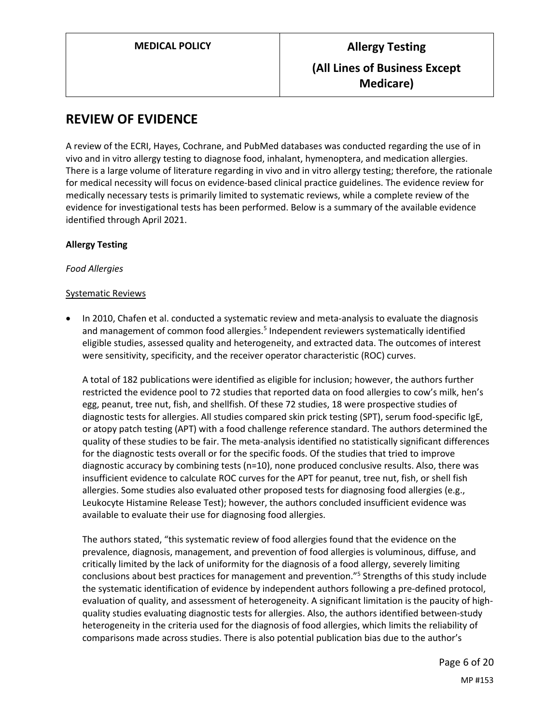## **REVIEW OF EVIDENCE**

A review of the ECRI, Hayes, Cochrane, and PubMed databases was conducted regarding the use of in vivo and in vitro allergy testing to diagnose food, inhalant, hymenoptera, and medication allergies. There is a large volume of literature regarding in vivo and in vitro allergy testing; therefore, the rationale for medical necessity will focus on evidence-based clinical practice guidelines. The evidence review for medically necessary tests is primarily limited to systematic reviews, while a complete review of the evidence for investigational tests has been performed. Below is a summary of the available evidence identified through April 2021.

### **Allergy Testing**

#### *Food Allergies*

#### Systematic Reviews

 In 2010, Chafen et al. conducted a systematic review and meta-analysis to evaluate the diagnosis and management of common food allergies.<sup>5</sup> Independent reviewers systematically identified eligible studies, assessed quality and heterogeneity, and extracted data. The outcomes of interest were sensitivity, specificity, and the receiver operator characteristic (ROC) curves.

A total of 182 publications were identified as eligible for inclusion; however, the authors further restricted the evidence pool to 72 studies that reported data on food allergies to cow's milk, hen's egg, peanut, tree nut, fish, and shellfish. Of these 72 studies, 18 were prospective studies of diagnostic tests for allergies. All studies compared skin prick testing (SPT), serum food-specific IgE, or atopy patch testing (APT) with a food challenge reference standard. The authors determined the quality of these studies to be fair. The meta-analysis identified no statistically significant differences for the diagnostic tests overall or for the specific foods. Of the studies that tried to improve diagnostic accuracy by combining tests (n=10), none produced conclusive results. Also, there was insufficient evidence to calculate ROC curves for the APT for peanut, tree nut, fish, or shell fish allergies. Some studies also evaluated other proposed tests for diagnosing food allergies (e.g., Leukocyte Histamine Release Test); however, the authors concluded insufficient evidence was available to evaluate their use for diagnosing food allergies.

The authors stated, "this systematic review of food allergies found that the evidence on the prevalence, diagnosis, management, and prevention of food allergies is voluminous, diffuse, and critically limited by the lack of uniformity for the diagnosis of a food allergy, severely limiting conclusions about best practices for management and prevention." 5 Strengths of this study include the systematic identification of evidence by independent authors following a pre-defined protocol, evaluation of quality, and assessment of heterogeneity. A significant limitation is the paucity of highquality studies evaluating diagnostic tests for allergies. Also, the authors identified between-study heterogeneity in the criteria used for the diagnosis of food allergies, which limits the reliability of comparisons made across studies. There is also potential publication bias due to the author's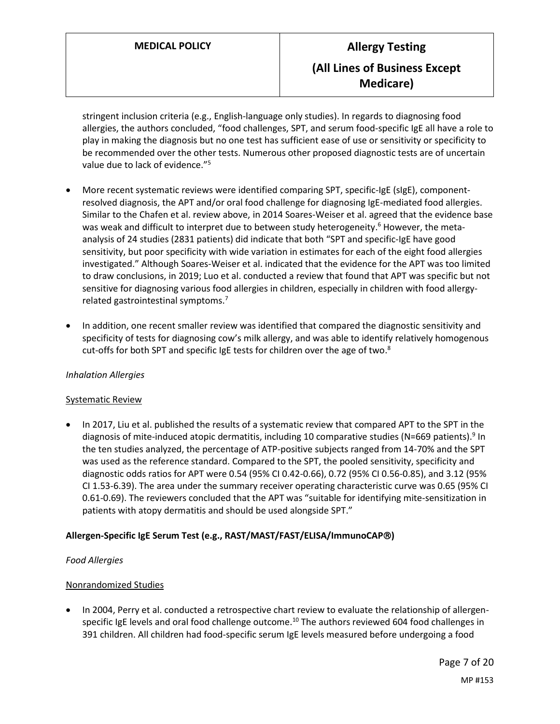stringent inclusion criteria (e.g., English-language only studies). In regards to diagnosing food allergies, the authors concluded, "food challenges, SPT, and serum food-specific IgE all have a role to play in making the diagnosis but no one test has sufficient ease of use or sensitivity or specificity to be recommended over the other tests. Numerous other proposed diagnostic tests are of uncertain value due to lack of evidence."<sup>5</sup>

- More recent systematic reviews were identified comparing SPT, specific-IgE (sIgE), componentresolved diagnosis, the APT and/or oral food challenge for diagnosing IgE-mediated food allergies. Similar to the Chafen et al. review above, in 2014 Soares-Weiser et al. agreed that the evidence base was weak and difficult to interpret due to between study heterogeneity. <sup>6</sup> However, the metaanalysis of 24 studies (2831 patients) did indicate that both "SPT and specific‐IgE have good sensitivity, but poor specificity with wide variation in estimates for each of the eight food allergies investigated." Although Soares-Weiser et al. indicated that the evidence for the APT was too limited to draw conclusions, in 2019; Luo et al. conducted a review that found that APT was specific but not sensitive for diagnosing various food allergies in children, especially in children with food allergyrelated gastrointestinal symptoms.<sup>7</sup>
- In addition, one recent smaller review was identified that compared the diagnostic sensitivity and specificity of tests for diagnosing cow's milk allergy, and was able to identify relatively homogenous cut-offs for both SPT and specific IgE tests for children over the age of two.<sup>8</sup>

### *Inhalation Allergies*

#### Systematic Review

 In 2017, Liu et al. published the results of a systematic review that compared APT to the SPT in the diagnosis of mite-induced atopic dermatitis, including 10 comparative studies (N=669 patients).<sup>9</sup> In the ten studies analyzed, the percentage of ATP-positive subjects ranged from 14-70% and the SPT was used as the reference standard. Compared to the SPT, the pooled sensitivity, specificity and diagnostic odds ratios for APT were 0.54 (95% CI 0.42-0.66), 0.72 (95% CI 0.56-0.85), and 3.12 (95% CI 1.53-6.39). The area under the summary receiver operating characteristic curve was 0.65 (95% CI 0.61-0.69). The reviewers concluded that the APT was "suitable for identifying mite-sensitization in patients with atopy dermatitis and should be used alongside SPT."

### **Allergen-Specific IgE Serum Test (e.g., RAST/MAST/FAST/ELISA/ImmunoCAP)**

### *Food Allergies*

### Nonrandomized Studies

 In 2004, Perry et al. conducted a retrospective chart review to evaluate the relationship of allergenspecific IgE levels and oral food challenge outcome.<sup>10</sup> The authors reviewed 604 food challenges in 391 children. All children had food-specific serum IgE levels measured before undergoing a food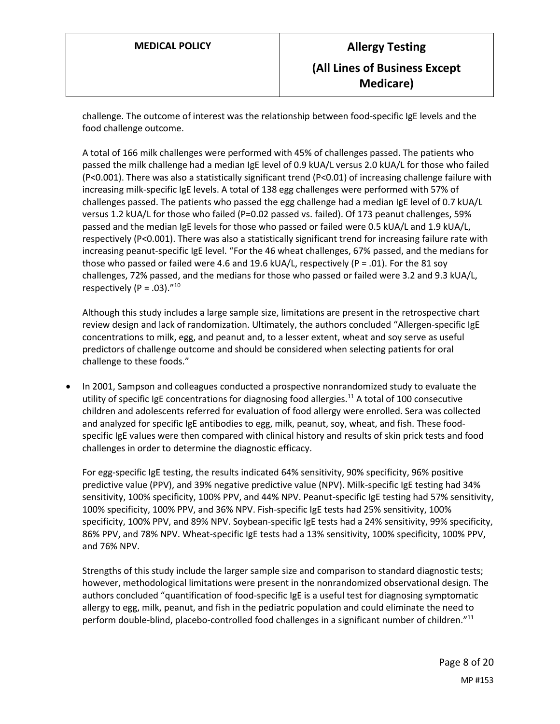challenge. The outcome of interest was the relationship between food-specific IgE levels and the food challenge outcome.

A total of 166 milk challenges were performed with 45% of challenges passed. The patients who passed the milk challenge had a median IgE level of 0.9 kUA/L versus 2.0 kUA/L for those who failed (P<0.001). There was also a statistically significant trend (P<0.01) of increasing challenge failure with increasing milk-specific IgE levels. A total of 138 egg challenges were performed with 57% of challenges passed. The patients who passed the egg challenge had a median IgE level of 0.7 kUA/L versus 1.2 kUA/L for those who failed (P=0.02 passed vs. failed). Of 173 peanut challenges, 59% passed and the median IgE levels for those who passed or failed were 0.5 kUA/L and 1.9 kUA/L, respectively (P<0.001). There was also a statistically significant trend for increasing failure rate with increasing peanut-specific IgE level. "For the 46 wheat challenges, 67% passed, and the medians for those who passed or failed were 4.6 and 19.6 kUA/L, respectively (P = .01). For the 81 soy challenges, 72% passed, and the medians for those who passed or failed were 3.2 and 9.3 kUA/L, respectively (P = .03)." 10

Although this study includes a large sample size, limitations are present in the retrospective chart review design and lack of randomization. Ultimately, the authors concluded "Allergen-specific IgE concentrations to milk, egg, and peanut and, to a lesser extent, wheat and soy serve as useful predictors of challenge outcome and should be considered when selecting patients for oral challenge to these foods."

 In 2001, Sampson and colleagues conducted a prospective nonrandomized study to evaluate the utility of specific IgE concentrations for diagnosing food allergies.<sup>11</sup> A total of 100 consecutive children and adolescents referred for evaluation of food allergy were enrolled. Sera was collected and analyzed for specific IgE antibodies to egg, milk, peanut, soy, wheat, and fish. These foodspecific IgE values were then compared with clinical history and results of skin prick tests and food challenges in order to determine the diagnostic efficacy.

For egg-specific IgE testing, the results indicated 64% sensitivity, 90% specificity, 96% positive predictive value (PPV), and 39% negative predictive value (NPV). Milk-specific IgE testing had 34% sensitivity, 100% specificity, 100% PPV, and 44% NPV. Peanut-specific IgE testing had 57% sensitivity, 100% specificity, 100% PPV, and 36% NPV. Fish-specific IgE tests had 25% sensitivity, 100% specificity, 100% PPV, and 89% NPV. Soybean-specific IgE tests had a 24% sensitivity, 99% specificity, 86% PPV, and 78% NPV. Wheat-specific IgE tests had a 13% sensitivity, 100% specificity, 100% PPV, and 76% NPV.

Strengths of this study include the larger sample size and comparison to standard diagnostic tests; however, methodological limitations were present in the nonrandomized observational design. The authors concluded "quantification of food-specific IgE is a useful test for diagnosing symptomatic allergy to egg, milk, peanut, and fish in the pediatric population and could eliminate the need to perform double-blind, placebo-controlled food challenges in a significant number of children."<sup>11</sup>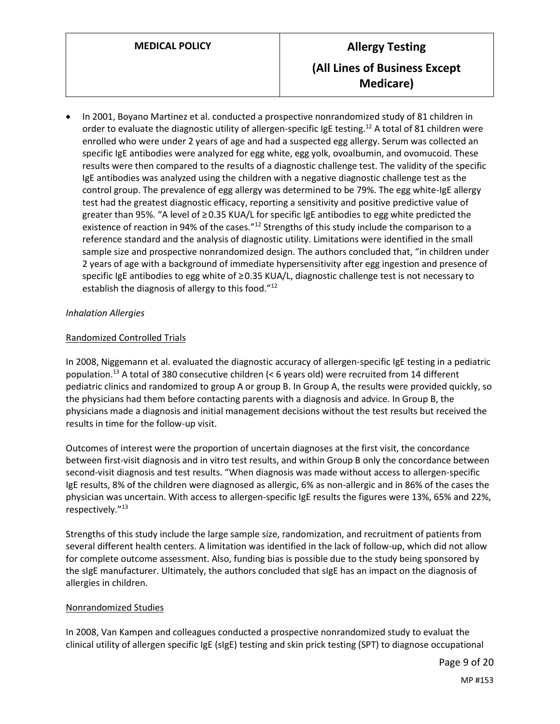In 2001, Boyano Martinez et al. conducted a prospective nonrandomized study of 81 children in order to evaluate the diagnostic utility of allergen-specific IgE testing.<sup>12</sup> A total of 81 children were enrolled who were under 2 years of age and had a suspected egg allergy. Serum was collected an specific IgE antibodies were analyzed for egg white, egg yolk, ovoalbumin, and ovomucoid. These results were then compared to the results of a diagnostic challenge test. The validity of the specific IgE antibodies was analyzed using the children with a negative diagnostic challenge test as the control group. The prevalence of egg allergy was determined to be 79%. The egg white-IgE allergy test had the greatest diagnostic efficacy, reporting a sensitivity and positive predictive value of greater than 95%. "A level of ≥ 0.35 KUA/L for specific IgE antibodies to egg white predicted the existence of reaction in 94% of the cases."<sup>12</sup> Strengths of this study include the comparison to a reference standard and the analysis of diagnostic utility. Limitations were identified in the small sample size and prospective nonrandomized design. The authors concluded that, "in children under 2 years of age with a background of immediate hypersensitivity after egg ingestion and presence of specific IgE antibodies to egg white of ≥ 0.35 KUA/L, diagnostic challenge test is not necessary to establish the diagnosis of allergy to this food."<sup>12</sup>

#### *Inhalation Allergies*

#### Randomized Controlled Trials

In 2008, Niggemann et al. evaluated the diagnostic accuracy of allergen-specific IgE testing in a pediatric population.<sup>13</sup> A total of 380 consecutive children (< 6 years old) were recruited from 14 different pediatric clinics and randomized to group A or group B. In Group A, the results were provided quickly, so the physicians had them before contacting parents with a diagnosis and advice. In Group B, the physicians made a diagnosis and initial management decisions without the test results but received the results in time for the follow-up visit.

Outcomes of interest were the proportion of uncertain diagnoses at the first visit, the concordance between first-visit diagnosis and in vitro test results, and within Group B only the concordance between second-visit diagnosis and test results. "When diagnosis was made without access to allergen-specific IgE results, 8% of the children were diagnosed as allergic, 6% as non-allergic and in 86% of the cases the physician was uncertain. With access to allergen-specific IgE results the figures were 13%, 65% and 22%, respectively." 13

Strengths of this study include the large sample size, randomization, and recruitment of patients from several different health centers. A limitation was identified in the lack of follow-up, which did not allow for complete outcome assessment. Also, funding bias is possible due to the study being sponsored by the sIgE manufacturer. Ultimately, the authors concluded that sIgE has an impact on the diagnosis of allergies in children.

#### Nonrandomized Studies

In 2008, Van Kampen and colleagues conducted a prospective nonrandomized study to evaluat the clinical utility of allergen specific IgE (sIgE) testing and skin prick testing (SPT) to diagnose occupational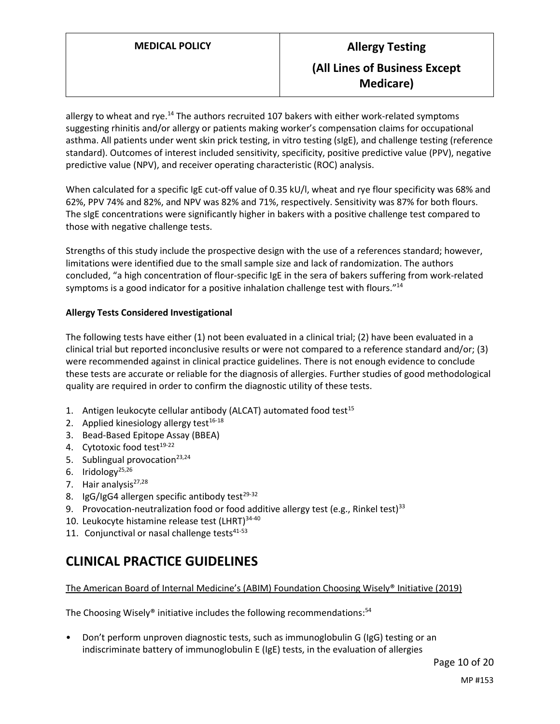allergy to wheat and rye.<sup>14</sup> The authors recruited 107 bakers with either work-related symptoms suggesting rhinitis and/or allergy or patients making worker's compensation claims for occupational asthma. All patients under went skin prick testing, in vitro testing (sIgE), and challenge testing (reference standard). Outcomes of interest included sensitivity, specificity, positive predictive value (PPV), negative predictive value (NPV), and receiver operating characteristic (ROC) analysis.

When calculated for a specific IgE cut-off value of 0.35 kU/l, wheat and rye flour specificity was 68% and 62%, PPV 74% and 82%, and NPV was 82% and 71%, respectively. Sensitivity was 87% for both flours. The sIgE concentrations were significantly higher in bakers with a positive challenge test compared to those with negative challenge tests.

Strengths of this study include the prospective design with the use of a references standard; however, limitations were identified due to the small sample size and lack of randomization. The authors concluded, "a high concentration of flour-specific IgE in the sera of bakers suffering from work-related symptoms is a good indicator for a positive inhalation challenge test with flours."<sup>14</sup>

### **Allergy Tests Considered Investigational**

The following tests have either (1) not been evaluated in a clinical trial; (2) have been evaluated in a clinical trial but reported inconclusive results or were not compared to a reference standard and/or; (3) were recommended against in clinical practice guidelines. There is not enough evidence to conclude these tests are accurate or reliable for the diagnosis of allergies. Further studies of good methodological quality are required in order to confirm the diagnostic utility of these tests.

- 1. Antigen leukocyte cellular antibody (ALCAT) automated food test $15$
- 2. Applied kinesiology allergy test $16-18$
- 3. Bead-Based Epitope Assay (BBEA)
- 4. Cytotoxic food test<sup>19-22</sup>
- 5. Sublingual provocation $23,24$
- 6. Iridology $^{25,26}$
- 7. Hair analysis<sup>27,28</sup>
- 8. IgG/IgG4 allergen specific antibody test $29-32$
- 9. Provocation-neutralization food or food additive allergy test (e.g., Rinkel test)<sup>33</sup>
- 10. Leukocyte histamine release test  $(LHRT)^{34-40}$
- 11. Conjunctival or nasal challenge tests $41-53$

# **CLINICAL PRACTICE GUIDELINES**

The American Board of Internal Medicine's (ABIM) Foundation Choosing Wisely® Initiative (2019)

The Choosing Wisely® initiative includes the following recommendations:<sup>54</sup>

• Don't perform unproven diagnostic tests, such as immunoglobulin G (IgG) testing or an indiscriminate battery of immunoglobulin E (IgE) tests, in the evaluation of allergies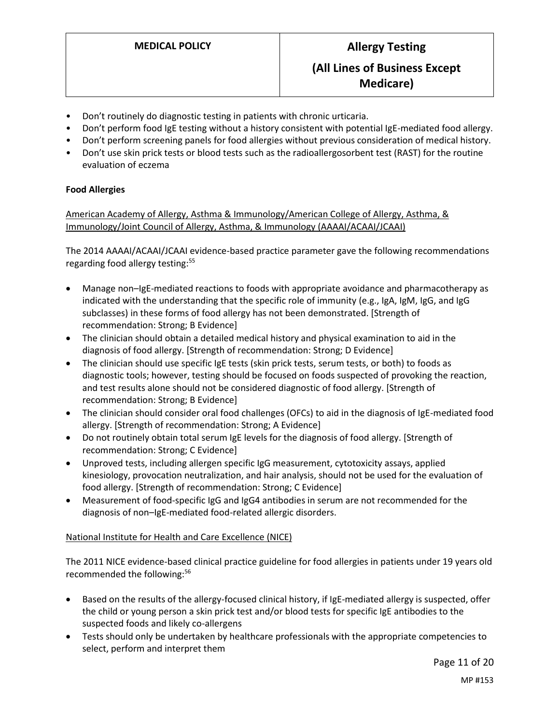- Don't routinely do diagnostic testing in patients with chronic urticaria.
- Don't perform food IgE testing without a history consistent with potential IgE-mediated food allergy.
- Don't perform screening panels for food allergies without previous consideration of medical history.
- Don't use skin prick tests or blood tests such as the radioallergosorbent test (RAST) for the routine evaluation of eczema

### **Food Allergies**

American Academy of Allergy, Asthma & Immunology/American College of Allergy, Asthma, & Immunology/Joint Council of Allergy, Asthma, & Immunology (AAAAI/ACAAI/JCAAI)

The 2014 AAAAI/ACAAI/JCAAI evidence-based practice parameter gave the following recommendations regarding food allergy testing:<sup>55</sup>

- Manage non–IgE-mediated reactions to foods with appropriate avoidance and pharmacotherapy as indicated with the understanding that the specific role of immunity (e.g., IgA, IgM, IgG, and IgG subclasses) in these forms of food allergy has not been demonstrated. [Strength of recommendation: Strong; B Evidence]
- The clinician should obtain a detailed medical history and physical examination to aid in the diagnosis of food allergy. [Strength of recommendation: Strong; D Evidence]
- The clinician should use specific IgE tests (skin prick tests, serum tests, or both) to foods as diagnostic tools; however, testing should be focused on foods suspected of provoking the reaction, and test results alone should not be considered diagnostic of food allergy. [Strength of recommendation: Strong; B Evidence]
- The clinician should consider oral food challenges (OFCs) to aid in the diagnosis of IgE-mediated food allergy. [Strength of recommendation: Strong; A Evidence]
- Do not routinely obtain total serum IgE levels for the diagnosis of food allergy. [Strength of recommendation: Strong; C Evidence]
- Unproved tests, including allergen specific IgG measurement, cytotoxicity assays, applied kinesiology, provocation neutralization, and hair analysis, should not be used for the evaluation of food allergy. [Strength of recommendation: Strong; C Evidence]
- Measurement of food-specific IgG and IgG4 antibodies in serum are not recommended for the diagnosis of non–IgE-mediated food-related allergic disorders.

#### National Institute for Health and Care Excellence (NICE)

The 2011 NICE evidence-based clinical practice guideline for food allergies in patients under 19 years old recommended the following: 56

- Based on the results of the allergy-focused clinical history, if IgE-mediated allergy is suspected, offer the child or young person a skin prick test and/or blood tests for specific IgE antibodies to the suspected foods and likely co-allergens
- Tests should only be undertaken by healthcare professionals with the appropriate competencies to select, perform and interpret them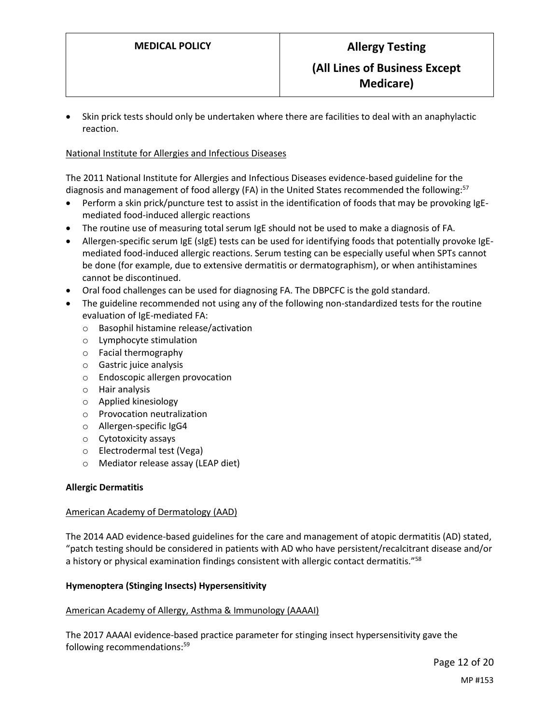Skin prick tests should only be undertaken where there are facilities to deal with an anaphylactic reaction.

#### National Institute for Allergies and Infectious Diseases

The 2011 National Institute for Allergies and Infectious Diseases evidence-based guideline for the diagnosis and management of food allergy (FA) in the United States recommended the following:<sup>57</sup>

- Perform a skin prick/puncture test to assist in the identification of foods that may be provoking IgEmediated food-induced allergic reactions
- The routine use of measuring total serum IgE should not be used to make a diagnosis of FA.
- Allergen-specific serum IgE (sIgE) tests can be used for identifying foods that potentially provoke IgEmediated food-induced allergic reactions. Serum testing can be especially useful when SPTs cannot be done (for example, due to extensive dermatitis or dermatographism), or when antihistamines cannot be discontinued.
- Oral food challenges can be used for diagnosing FA. The DBPCFC is the gold standard.
- The guideline recommended not using any of the following non-standardized tests for the routine evaluation of IgE-mediated FA:
	- o Basophil histamine release/activation
	- o Lymphocyte stimulation
	- o Facial thermography
	- o Gastric juice analysis
	- o Endoscopic allergen provocation
	- o Hair analysis
	- o Applied kinesiology
	- o Provocation neutralization
	- o Allergen-specific IgG4
	- o Cytotoxicity assays
	- o Electrodermal test (Vega)
	- o Mediator release assay (LEAP diet)

#### **Allergic Dermatitis**

#### American Academy of Dermatology (AAD)

The 2014 AAD evidence-based guidelines for the care and management of atopic dermatitis (AD) stated, "patch testing should be considered in patients with AD who have persistent/recalcitrant disease and/or a history or physical examination findings consistent with allergic contact dermatitis."<sup>58</sup>

#### **Hymenoptera (Stinging Insects) Hypersensitivity**

#### American Academy of Allergy, Asthma & Immunology (AAAAI)

The 2017 AAAAI evidence-based practice parameter for stinging insect hypersensitivity gave the following recommendations: 59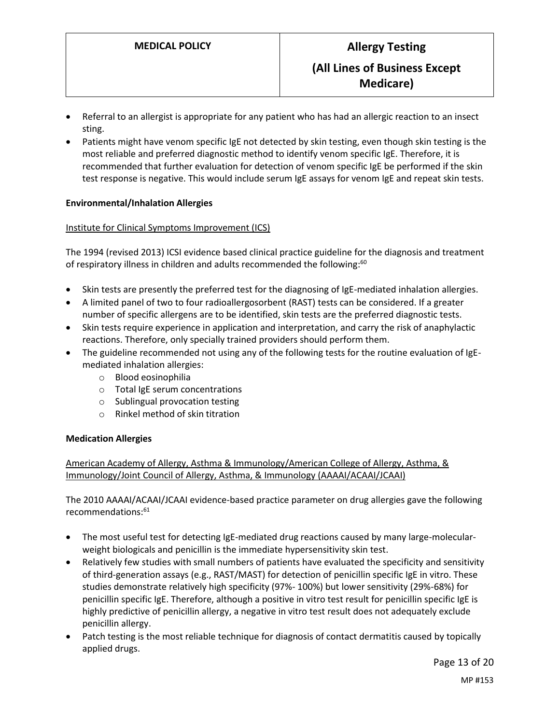- Referral to an allergist is appropriate for any patient who has had an allergic reaction to an insect sting.
- Patients might have venom specific IgE not detected by skin testing, even though skin testing is the most reliable and preferred diagnostic method to identify venom specific IgE. Therefore, it is recommended that further evaluation for detection of venom specific IgE be performed if the skin test response is negative. This would include serum IgE assays for venom IgE and repeat skin tests.

#### **Environmental/Inhalation Allergies**

#### Institute for Clinical Symptoms Improvement (ICS)

The 1994 (revised 2013) ICSI evidence based clinical practice guideline for the diagnosis and treatment of respiratory illness in children and adults recommended the following:<sup>60</sup>

- Skin tests are presently the preferred test for the diagnosing of IgE-mediated inhalation allergies.
- A limited panel of two to four radioallergosorbent (RAST) tests can be considered. If a greater number of specific allergens are to be identified, skin tests are the preferred diagnostic tests.
- Skin tests require experience in application and interpretation, and carry the risk of anaphylactic reactions. Therefore, only specially trained providers should perform them.
- The guideline recommended not using any of the following tests for the routine evaluation of IgEmediated inhalation allergies:
	- o Blood eosinophilia
	- o Total IgE serum concentrations
	- o Sublingual provocation testing
	- o Rinkel method of skin titration

#### **Medication Allergies**

American Academy of Allergy, Asthma & Immunology/American College of Allergy, Asthma, & Immunology/Joint Council of Allergy, Asthma, & Immunology (AAAAI/ACAAI/JCAAI)

The 2010 AAAAI/ACAAI/JCAAI evidence-based practice parameter on drug allergies gave the following recommendations: 61

- The most useful test for detecting IgE-mediated drug reactions caused by many large-molecularweight biologicals and penicillin is the immediate hypersensitivity skin test.
- Relatively few studies with small numbers of patients have evaluated the specificity and sensitivity of third-generation assays (e.g., RAST/MAST) for detection of penicillin specific IgE in vitro. These studies demonstrate relatively high specificity (97%- 100%) but lower sensitivity (29%-68%) for penicillin specific IgE. Therefore, although a positive in vitro test result for penicillin specific IgE is highly predictive of penicillin allergy, a negative in vitro test result does not adequately exclude penicillin allergy.
- Patch testing is the most reliable technique for diagnosis of contact dermatitis caused by topically applied drugs.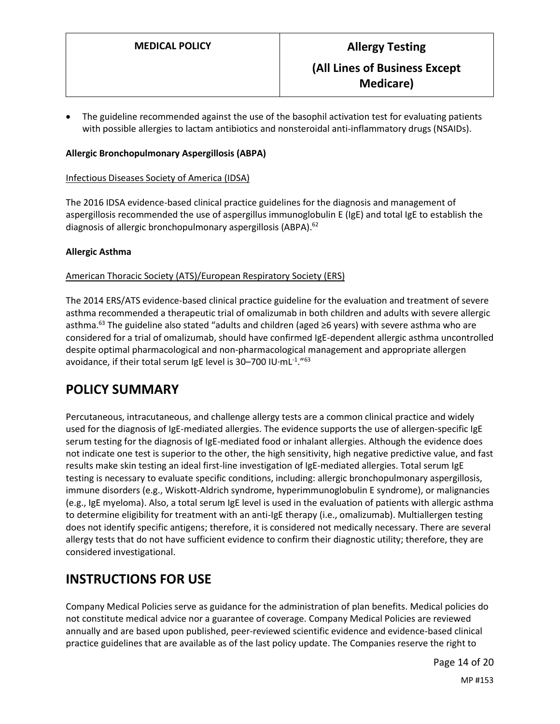The guideline recommended against the use of the basophil activation test for evaluating patients with possible allergies to lactam antibiotics and nonsteroidal anti-inflammatory drugs (NSAIDs).

#### **Allergic Bronchopulmonary Aspergillosis (ABPA)**

Infectious Diseases Society of America (IDSA)

The 2016 IDSA evidence-based clinical practice guidelines for the diagnosis and management of aspergillosis recommended the use of aspergillus immunoglobulin E (IgE) and total IgE to establish the diagnosis of allergic bronchopulmonary aspergillosis (ABPA).<sup>62</sup>

#### **Allergic Asthma**

#### American Thoracic Society (ATS)/European Respiratory Society (ERS)

The 2014 ERS/ATS evidence-based clinical practice guideline for the evaluation and treatment of severe asthma recommended a therapeutic trial of omalizumab in both children and adults with severe allergic asthma.<sup>63</sup> The guideline also stated "adults and children (aged ≥6 years) with severe asthma who are considered for a trial of omalizumab, should have confirmed IgE-dependent allergic asthma uncontrolled despite optimal pharmacological and non-pharmacological management and appropriate allergen avoidance, if their total serum IgE level is 30–700 IU $\cdot$ mL $^{\text{-1}}$ ."<sup>63</sup>

## <span id="page-13-0"></span>**POLICY SUMMARY**

Percutaneous, intracutaneous, and challenge allergy tests are a common clinical practice and widely used for the diagnosis of IgE-mediated allergies. The evidence supports the use of allergen-specific IgE serum testing for the diagnosis of IgE-mediated food or inhalant allergies. Although the evidence does not indicate one test is superior to the other, the high sensitivity, high negative predictive value, and fast results make skin testing an ideal first-line investigation of IgE-mediated allergies. Total serum IgE testing is necessary to evaluate specific conditions, including: allergic bronchopulmonary aspergillosis, immune disorders (e.g., Wiskott-Aldrich syndrome, hyperimmunoglobulin E syndrome), or malignancies (e.g., IgE myeloma). Also, a total serum IgE level is used in the evaluation of patients with allergic asthma to determine eligibility for treatment with an anti-IgE therapy (i.e., omalizumab). Multiallergen testing does not identify specific antigens; therefore, it is considered not medically necessary. There are several allergy tests that do not have sufficient evidence to confirm their diagnostic utility; therefore, they are considered investigational.

## **INSTRUCTIONS FOR USE**

Company Medical Policies serve as guidance for the administration of plan benefits. Medical policies do not constitute medical advice nor a guarantee of coverage. Company Medical Policies are reviewed annually and are based upon published, peer-reviewed scientific evidence and evidence-based clinical practice guidelines that are available as of the last policy update. The Companies reserve the right to

Page 14 of 20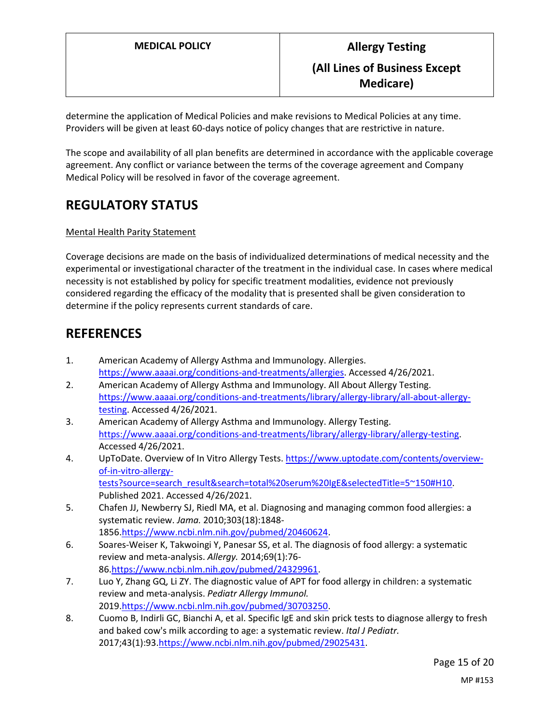determine the application of Medical Policies and make revisions to Medical Policies at any time. Providers will be given at least 60-days notice of policy changes that are restrictive in nature.

The scope and availability of all plan benefits are determined in accordance with the applicable coverage agreement. Any conflict or variance between the terms of the coverage agreement and Company Medical Policy will be resolved in favor of the coverage agreement.

## **REGULATORY STATUS**

#### Mental Health Parity Statement

Coverage decisions are made on the basis of individualized determinations of medical necessity and the experimental or investigational character of the treatment in the individual case. In cases where medical necessity is not established by policy for specific treatment modalities, evidence not previously considered regarding the efficacy of the modality that is presented shall be given consideration to determine if the policy represents current standards of care.

## **REFERENCES**

- 1. American Academy of Allergy Asthma and Immunology. Allergies. [https://www.aaaai.org/conditions-and-treatments/allergies.](https://www.aaaai.org/conditions-and-treatments/allergies) Accessed 4/26/2021.
- 2. American Academy of Allergy Asthma and Immunology. All About Allergy Testing. [https://www.aaaai.org/conditions-and-treatments/library/allergy-library/all-about-allergy](https://www.aaaai.org/conditions-and-treatments/library/allergy-library/all-about-allergy-testing)[testing.](https://www.aaaai.org/conditions-and-treatments/library/allergy-library/all-about-allergy-testing) Accessed 4/26/2021.
- 3. American Academy of Allergy Asthma and Immunology. Allergy Testing. [https://www.aaaai.org/conditions-and-treatments/library/allergy-library/allergy-testing.](https://www.aaaai.org/conditions-and-treatments/library/allergy-library/allergy-testing) Accessed 4/26/2021.
- 4. UpToDate. Overview of In Vitro Allergy Tests[. https://www.uptodate.com/contents/overview](https://www.uptodate.com/contents/overview-of-in-vitro-allergy-tests?source=search_result&search=total%20serum%20IgE&selectedTitle=5~150#H10)[of-in-vitro-allergy](https://www.uptodate.com/contents/overview-of-in-vitro-allergy-tests?source=search_result&search=total%20serum%20IgE&selectedTitle=5~150#H10)[tests?source=search\\_result&search=total%20serum%20IgE&selectedTitle=5~150#H10.](https://www.uptodate.com/contents/overview-of-in-vitro-allergy-tests?source=search_result&search=total%20serum%20IgE&selectedTitle=5~150#H10) Published 2021. Accessed 4/26/2021.
- 5. Chafen JJ, Newberry SJ, Riedl MA, et al. Diagnosing and managing common food allergies: a systematic review. *Jama.* 2010;303(18):1848- 1856[.https://www.ncbi.nlm.nih.gov/pubmed/20460624.](https://www.ncbi.nlm.nih.gov/pubmed/20460624)
- 6. Soares-Weiser K, Takwoingi Y, Panesar SS, et al. The diagnosis of food allergy: a systematic review and meta-analysis. *Allergy.* 2014;69(1):76- 86[.https://www.ncbi.nlm.nih.gov/pubmed/24329961.](https://www.ncbi.nlm.nih.gov/pubmed/24329961)
- 7. Luo Y, Zhang GQ, Li ZY. The diagnostic value of APT for food allergy in children: a systematic review and meta-analysis. *Pediatr Allergy Immunol.*  2019[.https://www.ncbi.nlm.nih.gov/pubmed/30703250.](https://www.ncbi.nlm.nih.gov/pubmed/30703250)
- 8. Cuomo B, Indirli GC, Bianchi A, et al. Specific IgE and skin prick tests to diagnose allergy to fresh and baked cow's milk according to age: a systematic review. *Ital J Pediatr.*  2017;43(1):93[.https://www.ncbi.nlm.nih.gov/pubmed/29025431.](https://www.ncbi.nlm.nih.gov/pubmed/29025431)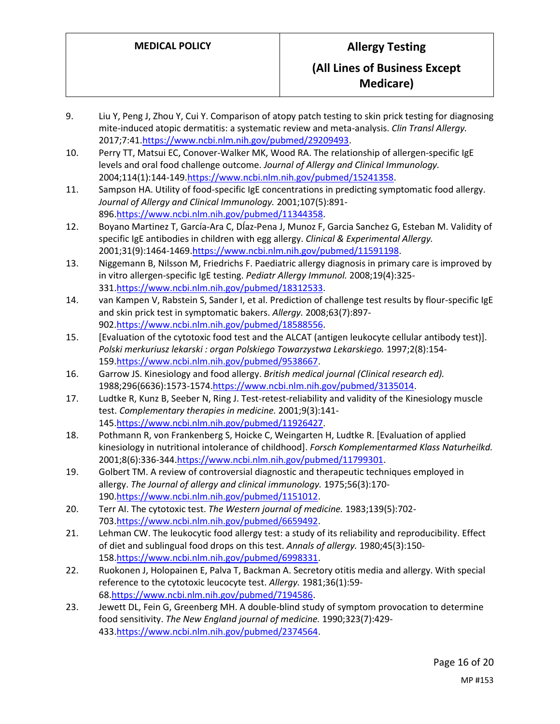- 9. Liu Y, Peng J, Zhou Y, Cui Y. Comparison of atopy patch testing to skin prick testing for diagnosing mite-induced atopic dermatitis: a systematic review and meta-analysis. *Clin Transl Allergy.*  2017;7:41[.https://www.ncbi.nlm.nih.gov/pubmed/29209493.](https://www.ncbi.nlm.nih.gov/pubmed/29209493)
- 10. Perry TT, Matsui EC, Conover-Walker MK, Wood RA. The relationship of allergen-specific IgE levels and oral food challenge outcome. *Journal of Allergy and Clinical Immunology.*  2004;114(1):144-14[9.https://www.ncbi.nlm.nih.gov/pubmed/15241358.](https://www.ncbi.nlm.nih.gov/pubmed/15241358)
- 11. Sampson HA. Utility of food-specific IgE concentrations in predicting symptomatic food allergy. *Journal of Allergy and Clinical Immunology.* 2001;107(5):891- 896[.https://www.ncbi.nlm.nih.gov/pubmed/11344358.](https://www.ncbi.nlm.nih.gov/pubmed/11344358)
- 12. Boyano Martinez T, García‐Ara C, DÍaz‐Pena J, Munoz F, Garcia Sanchez G, Esteban M. Validity of specific IgE antibodies in children with egg allergy. *Clinical & Experimental Allergy.*  2001;31(9):1464-1469[.https://www.ncbi.nlm.nih.gov/pubmed/11591198.](https://www.ncbi.nlm.nih.gov/pubmed/11591198)
- 13. Niggemann B, Nilsson M, Friedrichs F. Paediatric allergy diagnosis in primary care is improved by in vitro allergen-specific IgE testing. *Pediatr Allergy Immunol.* 2008;19(4):325- 331[.https://www.ncbi.nlm.nih.gov/pubmed/18312533.](https://www.ncbi.nlm.nih.gov/pubmed/18312533)
- 14. van Kampen V, Rabstein S, Sander I, et al. Prediction of challenge test results by flour-specific IgE and skin prick test in symptomatic bakers. *Allergy.* 2008;63(7):897- 902[.https://www.ncbi.nlm.nih.gov/pubmed/18588556.](https://www.ncbi.nlm.nih.gov/pubmed/18588556)
- 15. [Evaluation of the cytotoxic food test and the ALCAT (antigen leukocyte cellular antibody test)]. *Polski merkuriusz lekarski : organ Polskiego Towarzystwa Lekarskiego.* 1997;2(8):154- 159[.https://www.ncbi.nlm.nih.gov/pubmed/9538667.](https://www.ncbi.nlm.nih.gov/pubmed/9538667)
- 16. Garrow JS. Kinesiology and food allergy. *British medical journal (Clinical research ed).*  1988;296(6636):1573-157[4.https://www.ncbi.nlm.nih.gov/pubmed/3135014.](https://www.ncbi.nlm.nih.gov/pubmed/3135014)
- 17. Ludtke R, Kunz B, Seeber N, Ring J. Test-retest-reliability and validity of the Kinesiology muscle test. *Complementary therapies in medicine.* 2001;9(3):141- 145[.https://www.ncbi.nlm.nih.gov/pubmed/11926427.](https://www.ncbi.nlm.nih.gov/pubmed/11926427)
- 18. Pothmann R, von Frankenberg S, Hoicke C, Weingarten H, Ludtke R. [Evaluation of applied kinesiology in nutritional intolerance of childhood]. *Forsch Komplementarmed Klass Naturheilkd.*  2001;8(6):336-344[.https://www.ncbi.nlm.nih.gov/pubmed/11799301.](https://www.ncbi.nlm.nih.gov/pubmed/11799301)
- 19. Golbert TM. A review of controversial diagnostic and therapeutic techniques employed in allergy. *The Journal of allergy and clinical immunology.* 1975;56(3):170- 190[.https://www.ncbi.nlm.nih.gov/pubmed/1151012.](https://www.ncbi.nlm.nih.gov/pubmed/1151012)
- 20. Terr AI. The cytotoxic test. *The Western journal of medicine.* 1983;139(5):702- 703[.https://www.ncbi.nlm.nih.gov/pubmed/6659492.](https://www.ncbi.nlm.nih.gov/pubmed/6659492)
- 21. Lehman CW. The leukocytic food allergy test: a study of its reliability and reproducibility. Effect of diet and sublingual food drops on this test. *Annals of allergy.* 1980;45(3):150- 158[.https://www.ncbi.nlm.nih.gov/pubmed/6998331.](https://www.ncbi.nlm.nih.gov/pubmed/6998331)
- 22. Ruokonen J, Holopainen E, Palva T, Backman A. Secretory otitis media and allergy. With special reference to the cytotoxic leucocyte test. *Allergy.* 1981;36(1):59- 68[.https://www.ncbi.nlm.nih.gov/pubmed/7194586.](https://www.ncbi.nlm.nih.gov/pubmed/7194586)
- 23. Jewett DL, Fein G, Greenberg MH. A double-blind study of symptom provocation to determine food sensitivity. *The New England journal of medicine.* 1990;323(7):429- 433[.https://www.ncbi.nlm.nih.gov/pubmed/2374564.](https://www.ncbi.nlm.nih.gov/pubmed/2374564)

Page 16 of 20 MP #153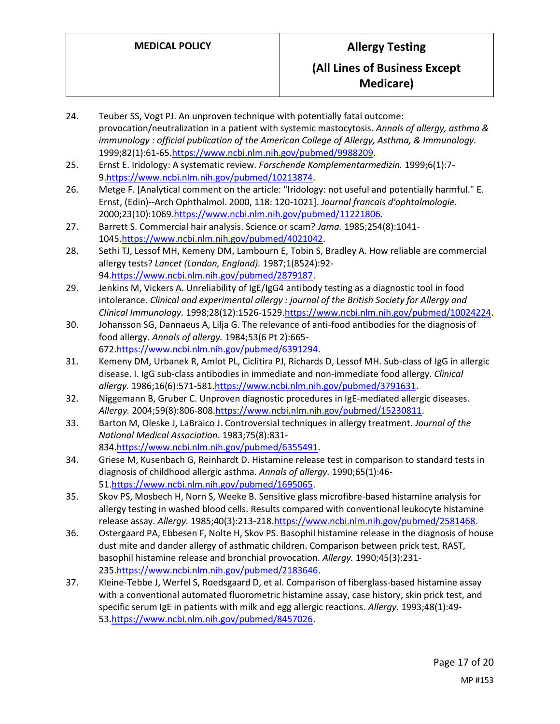- 24. Teuber SS, Vogt PJ. An unproven technique with potentially fatal outcome: provocation/neutralization in a patient with systemic mastocytosis. *Annals of allergy, asthma & immunology : official publication of the American College of Allergy, Asthma, & Immunology.*  1999;82(1):61-65[.https://www.ncbi.nlm.nih.gov/pubmed/9988209.](https://www.ncbi.nlm.nih.gov/pubmed/9988209)
- 25. Ernst E. Iridology: A systematic review. *Forschende Komplementarmedizin.* 1999;6(1):7- 9[.https://www.ncbi.nlm.nih.gov/pubmed/10213874.](https://www.ncbi.nlm.nih.gov/pubmed/10213874)
- 26. Metge F. [Analytical comment on the article: "Iridology: not useful and potentially harmful." E. Ernst, (Edin)--Arch Ophthalmol. 2000, 118: 120-1021]. *Journal francais d'ophtalmologie.*  2000;23(10):1069[.https://www.ncbi.nlm.nih.gov/pubmed/11221806.](https://www.ncbi.nlm.nih.gov/pubmed/11221806)
- 27. Barrett S. Commercial hair analysis. Science or scam? *Jama.* 1985;254(8):1041- 1045[.https://www.ncbi.nlm.nih.gov/pubmed/4021042.](https://www.ncbi.nlm.nih.gov/pubmed/4021042)
- 28. Sethi TJ, Lessof MH, Kemeny DM, Lambourn E, Tobin S, Bradley A. How reliable are commercial allergy tests? *Lancet (London, England).* 1987;1(8524):92- 94[.https://www.ncbi.nlm.nih.gov/pubmed/2879187.](https://www.ncbi.nlm.nih.gov/pubmed/2879187)
- 29. Jenkins M, Vickers A. Unreliability of IgE/IgG4 antibody testing as a diagnostic tool in food intolerance. *Clinical and experimental allergy : journal of the British Society for Allergy and Clinical Immunology.* 1998;28(12):1526-1529[.https://www.ncbi.nlm.nih.gov/pubmed/10024224.](https://www.ncbi.nlm.nih.gov/pubmed/10024224)
- 30. Johansson SG, Dannaeus A, Lilja G. The relevance of anti-food antibodies for the diagnosis of food allergy. *Annals of allergy.* 1984;53(6 Pt 2):665- 672[.https://www.ncbi.nlm.nih.gov/pubmed/6391294.](https://www.ncbi.nlm.nih.gov/pubmed/6391294)
- 31. Kemeny DM, Urbanek R, Amlot PL, Ciclitira PJ, Richards D, Lessof MH. Sub-class of IgG in allergic disease. I. IgG sub-class antibodies in immediate and non-immediate food allergy. *Clinical allergy.* 1986;16(6):571-58[1.https://www.ncbi.nlm.nih.gov/pubmed/3791631.](https://www.ncbi.nlm.nih.gov/pubmed/3791631)
- 32. Niggemann B, Gruber C. Unproven diagnostic procedures in IgE-mediated allergic diseases. *Allergy.* 2004;59(8):806-808[.https://www.ncbi.nlm.nih.gov/pubmed/15230811.](https://www.ncbi.nlm.nih.gov/pubmed/15230811)
- 33. Barton M, Oleske J, LaBraico J. Controversial techniques in allergy treatment. *Journal of the National Medical Association.* 1983;75(8):831- 834[.https://www.ncbi.nlm.nih.gov/pubmed/6355491.](https://www.ncbi.nlm.nih.gov/pubmed/6355491)
- 34. Griese M, Kusenbach G, Reinhardt D. Histamine release test in comparison to standard tests in diagnosis of childhood allergic asthma. *Annals of allergy.* 1990;65(1):46- 51[.https://www.ncbi.nlm.nih.gov/pubmed/1695065.](https://www.ncbi.nlm.nih.gov/pubmed/1695065)
- 35. Skov PS, Mosbech H, Norn S, Weeke B. Sensitive glass microfibre-based histamine analysis for allergy testing in washed blood cells. Results compared with conventional leukocyte histamine release assay. *Allergy.* 1985;40(3):213-218[.https://www.ncbi.nlm.nih.gov/pubmed/2581468.](https://www.ncbi.nlm.nih.gov/pubmed/2581468)
- 36. Ostergaard PA, Ebbesen F, Nolte H, Skov PS. Basophil histamine release in the diagnosis of house dust mite and dander allergy of asthmatic children. Comparison between prick test, RAST, basophil histamine release and bronchial provocation. *Allergy.* 1990;45(3):231- 235[.https://www.ncbi.nlm.nih.gov/pubmed/2183646.](https://www.ncbi.nlm.nih.gov/pubmed/2183646)
- 37. Kleine-Tebbe J, Werfel S, Roedsgaard D, et al. Comparison of fiberglass-based histamine assay with a conventional automated fluorometric histamine assay, case history, skin prick test, and specific serum IgE in patients with milk and egg allergic reactions. *Allergy.* 1993;48(1):49- 53[.https://www.ncbi.nlm.nih.gov/pubmed/8457026.](https://www.ncbi.nlm.nih.gov/pubmed/8457026)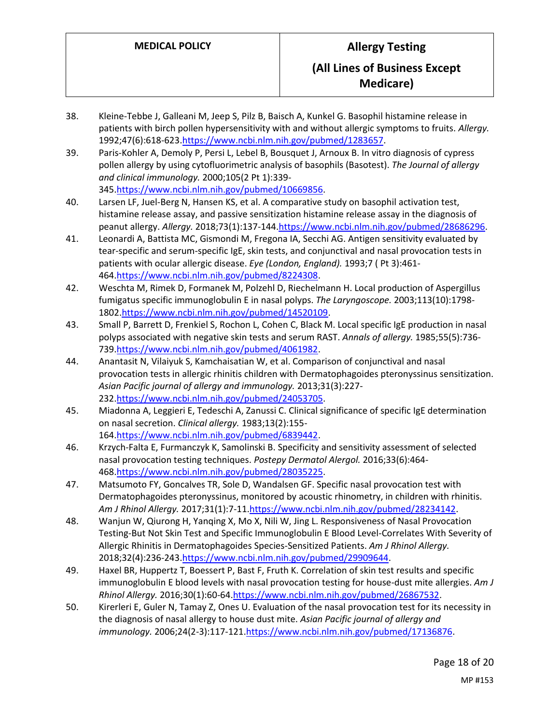- 38. Kleine-Tebbe J, Galleani M, Jeep S, Pilz B, Baisch A, Kunkel G. Basophil histamine release in patients with birch pollen hypersensitivity with and without allergic symptoms to fruits. *Allergy.*  1992;47(6):618-623[.https://www.ncbi.nlm.nih.gov/pubmed/1283657.](https://www.ncbi.nlm.nih.gov/pubmed/1283657)
- 39. Paris-Kohler A, Demoly P, Persi L, Lebel B, Bousquet J, Arnoux B. In vitro diagnosis of cypress pollen allergy by using cytofluorimetric analysis of basophils (Basotest). *The Journal of allergy and clinical immunology.* 2000;105(2 Pt 1):339- 345[.https://www.ncbi.nlm.nih.gov/pubmed/10669856.](https://www.ncbi.nlm.nih.gov/pubmed/10669856)
- 40. Larsen LF, Juel-Berg N, Hansen KS, et al. A comparative study on basophil activation test, histamine release assay, and passive sensitization histamine release assay in the diagnosis of peanut allergy. *Allergy.* 2018;73(1):137-14[4.https://www.ncbi.nlm.nih.gov/pubmed/28686296.](https://www.ncbi.nlm.nih.gov/pubmed/28686296)
- 41. Leonardi A, Battista MC, Gismondi M, Fregona IA, Secchi AG. Antigen sensitivity evaluated by tear-specific and serum-specific IgE, skin tests, and conjunctival and nasal provocation tests in patients with ocular allergic disease. *Eye (London, England).* 1993;7 ( Pt 3):461- 464[.https://www.ncbi.nlm.nih.gov/pubmed/8224308.](https://www.ncbi.nlm.nih.gov/pubmed/8224308)
- 42. Weschta M, Rimek D, Formanek M, Polzehl D, Riechelmann H. Local production of Aspergillus fumigatus specific immunoglobulin E in nasal polyps. *The Laryngoscope.* 2003;113(10):1798- 1802[.https://www.ncbi.nlm.nih.gov/pubmed/14520109.](https://www.ncbi.nlm.nih.gov/pubmed/14520109)
- 43. Small P, Barrett D, Frenkiel S, Rochon L, Cohen C, Black M. Local specific IgE production in nasal polyps associated with negative skin tests and serum RAST. *Annals of allergy.* 1985;55(5):736- 739[.https://www.ncbi.nlm.nih.gov/pubmed/4061982.](https://www.ncbi.nlm.nih.gov/pubmed/4061982)
- 44. Anantasit N, Vilaiyuk S, Kamchaisatian W, et al. Comparison of conjunctival and nasal provocation tests in allergic rhinitis children with Dermatophagoides pteronyssinus sensitization. *Asian Pacific journal of allergy and immunology.* 2013;31(3):227- 232[.https://www.ncbi.nlm.nih.gov/pubmed/24053705.](https://www.ncbi.nlm.nih.gov/pubmed/24053705)
- 45. Miadonna A, Leggieri E, Tedeschi A, Zanussi C. Clinical significance of specific IgE determination on nasal secretion. *Clinical allergy.* 1983;13(2):155- 164[.https://www.ncbi.nlm.nih.gov/pubmed/6839442.](https://www.ncbi.nlm.nih.gov/pubmed/6839442)
- 46. Krzych-Falta E, Furmanczyk K, Samolinski B. Specificity and sensitivity assessment of selected nasal provocation testing techniques. *Postepy Dermatol Alergol.* 2016;33(6):464- 468[.https://www.ncbi.nlm.nih.gov/pubmed/28035225.](https://www.ncbi.nlm.nih.gov/pubmed/28035225)
- 47. Matsumoto FY, Goncalves TR, Sole D, Wandalsen GF. Specific nasal provocation test with Dermatophagoides pteronyssinus, monitored by acoustic rhinometry, in children with rhinitis. *Am J Rhinol Allergy.* 2017;31(1):7-1[1.https://www.ncbi.nlm.nih.gov/pubmed/28234142.](https://www.ncbi.nlm.nih.gov/pubmed/28234142)
- 48. Wanjun W, Qiurong H, Yanqing X, Mo X, Nili W, Jing L. Responsiveness of Nasal Provocation Testing-But Not Skin Test and Specific Immunoglobulin E Blood Level-Correlates With Severity of Allergic Rhinitis in Dermatophagoides Species-Sensitized Patients. *Am J Rhinol Allergy.*  2018;32(4):236-243[.https://www.ncbi.nlm.nih.gov/pubmed/29909644.](https://www.ncbi.nlm.nih.gov/pubmed/29909644)
- 49. Haxel BR, Huppertz T, Boessert P, Bast F, Fruth K. Correlation of skin test results and specific immunoglobulin E blood levels with nasal provocation testing for house-dust mite allergies. *Am J Rhinol Allergy.* 2016;30(1):60-64[.https://www.ncbi.nlm.nih.gov/pubmed/26867532.](https://www.ncbi.nlm.nih.gov/pubmed/26867532)
- 50. Kirerleri E, Guler N, Tamay Z, Ones U. Evaluation of the nasal provocation test for its necessity in the diagnosis of nasal allergy to house dust mite. *Asian Pacific journal of allergy and immunology.* 2006;24(2-3):117-121[.https://www.ncbi.nlm.nih.gov/pubmed/17136876.](https://www.ncbi.nlm.nih.gov/pubmed/17136876)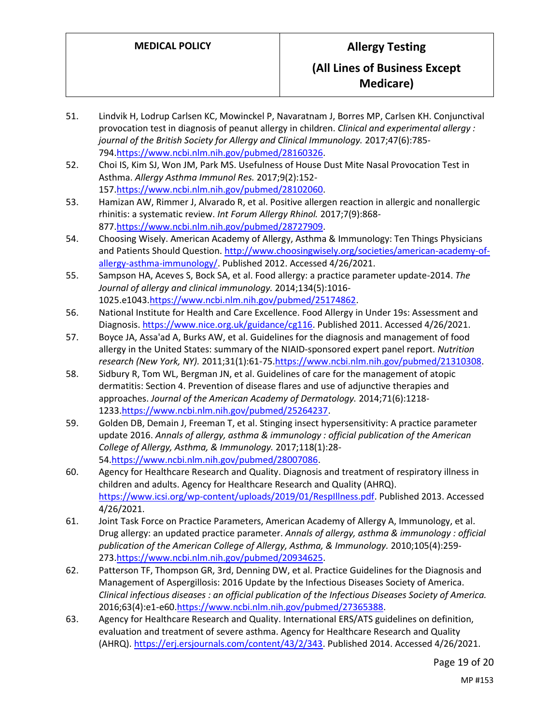- 51. Lindvik H, Lodrup Carlsen KC, Mowinckel P, Navaratnam J, Borres MP, Carlsen KH. Conjunctival provocation test in diagnosis of peanut allergy in children. *Clinical and experimental allergy : journal of the British Society for Allergy and Clinical Immunology.* 2017;47(6):785- 794[.https://www.ncbi.nlm.nih.gov/pubmed/28160326.](https://www.ncbi.nlm.nih.gov/pubmed/28160326)
- 52. Choi IS, Kim SJ, Won JM, Park MS. Usefulness of House Dust Mite Nasal Provocation Test in Asthma. *Allergy Asthma Immunol Res.* 2017;9(2):152- 157[.https://www.ncbi.nlm.nih.gov/pubmed/28102060.](https://www.ncbi.nlm.nih.gov/pubmed/28102060)
- 53. Hamizan AW, Rimmer J, Alvarado R, et al. Positive allergen reaction in allergic and nonallergic rhinitis: a systematic review. *Int Forum Allergy Rhinol.* 2017;7(9):868- 877[.https://www.ncbi.nlm.nih.gov/pubmed/28727909.](https://www.ncbi.nlm.nih.gov/pubmed/28727909)
- 54. Choosing Wisely. American Academy of Allergy, Asthma & Immunology: Ten Things Physicians and Patients Should Question[. http://www.choosingwisely.org/societies/american-academy-of](http://www.choosingwisely.org/societies/american-academy-of-allergy-asthma-immunology/)[allergy-asthma-immunology/.](http://www.choosingwisely.org/societies/american-academy-of-allergy-asthma-immunology/) Published 2012. Accessed 4/26/2021.
- 55. Sampson HA, Aceves S, Bock SA, et al. Food allergy: a practice parameter update-2014. *The Journal of allergy and clinical immunology.* 2014;134(5):1016- 1025.e1043[.https://www.ncbi.nlm.nih.gov/pubmed/25174862.](https://www.ncbi.nlm.nih.gov/pubmed/25174862)
- 56. National Institute for Health and Care Excellence. Food Allergy in Under 19s: Assessment and Diagnosis[. https://www.nice.org.uk/guidance/cg116.](https://www.nice.org.uk/guidance/cg116) Published 2011. Accessed 4/26/2021.
- 57. Boyce JA, Assa'ad A, Burks AW, et al. Guidelines for the diagnosis and management of food allergy in the United States: summary of the NIAID-sponsored expert panel report. *Nutrition research (New York, NY).* 2011;31(1):61-75[.https://www.ncbi.nlm.nih.gov/pubmed/21310308.](https://www.ncbi.nlm.nih.gov/pubmed/21310308)
- 58. Sidbury R, Tom WL, Bergman JN, et al. Guidelines of care for the management of atopic dermatitis: Section 4. Prevention of disease flares and use of adjunctive therapies and approaches. *Journal of the American Academy of Dermatology.* 2014;71(6):1218- 1233[.https://www.ncbi.nlm.nih.gov/pubmed/25264237.](https://www.ncbi.nlm.nih.gov/pubmed/25264237)
- 59. Golden DB, Demain J, Freeman T, et al. Stinging insect hypersensitivity: A practice parameter update 2016. *Annals of allergy, asthma & immunology : official publication of the American College of Allergy, Asthma, & Immunology.* 2017;118(1):28- 54[.https://www.ncbi.nlm.nih.gov/pubmed/28007086.](https://www.ncbi.nlm.nih.gov/pubmed/28007086)
- 60. Agency for Healthcare Research and Quality. Diagnosis and treatment of respiratory illness in children and adults. Agency for Healthcare Research and Quality (AHRQ). [https://www.icsi.org/wp-content/uploads/2019/01/RespIllness.pdf.](https://www.icsi.org/wp-content/uploads/2019/01/RespIllness.pdf) Published 2013. Accessed 4/26/2021.
- 61. Joint Task Force on Practice Parameters, American Academy of Allergy A, Immunology, et al. Drug allergy: an updated practice parameter. *Annals of allergy, asthma & immunology : official publication of the American College of Allergy, Asthma, & Immunology.* 2010;105(4):259- 273[.https://www.ncbi.nlm.nih.gov/pubmed/20934625.](https://www.ncbi.nlm.nih.gov/pubmed/20934625)
- 62. Patterson TF, Thompson GR, 3rd, Denning DW, et al. Practice Guidelines for the Diagnosis and Management of Aspergillosis: 2016 Update by the Infectious Diseases Society of America. *Clinical infectious diseases : an official publication of the Infectious Diseases Society of America.*  2016;63(4):e1-e60[.https://www.ncbi.nlm.nih.gov/pubmed/27365388.](https://www.ncbi.nlm.nih.gov/pubmed/27365388)
- 63. Agency for Healthcare Research and Quality. International ERS/ATS guidelines on definition, evaluation and treatment of severe asthma. Agency for Healthcare Research and Quality (AHRQ)[. https://erj.ersjournals.com/content/43/2/343.](https://erj.ersjournals.com/content/43/2/343) Published 2014. Accessed 4/26/2021.